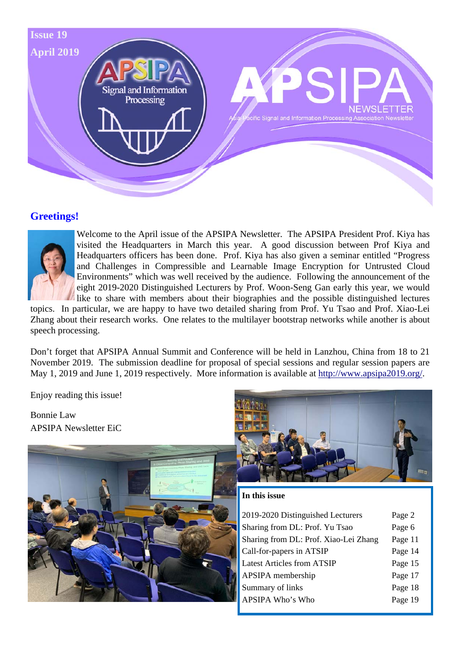

# **Greetings!**



Welcome to the April issue of the APSIPA Newsletter. The APSIPA President Prof. Kiya has visited the Headquarters in March this year. A good discussion between Prof Kiya and Headquarters officers has been done. Prof. Kiya has also given a seminar entitled "Progress and Challenges in Compressible and Learnable Image Encryption for Untrusted Cloud Environments" which was well received by the audience. Following the announcement of the eight 2019-2020 Distinguished Lecturers by Prof. Woon-Seng Gan early this year, we would like to share with members about their biographies and the possible distinguished lectures

topics. In particular, we are happy to have two detailed sharing from Prof. Yu Tsao and Prof. Xiao-Lei Zhang about their research works. One relates to the multilayer bootstrap networks while another is about speech processing.

Don't forget that APSIPA Annual Summit and Conference will be held in Lanzhou, China from 18 to 21 November 2019. The submission deadline for proposal of special sessions and regular session papers are May 1, 2019 and June 1, 2019 respectively. More information is available at http://www.apsipa2019.org/.

Enjoy reading this issue!

Bonnie Law APSIPA Newsletter EiC





#### **In this issue**

| 2019-2020 Distinguished Lecturers     | Page 2  |
|---------------------------------------|---------|
| Sharing from DL: Prof. Yu Tsao        | Page 6  |
| Sharing from DL: Prof. Xiao-Lei Zhang | Page 11 |
| Call-for-papers in ATSIP              | Page 14 |
| <b>Latest Articles from ATSIP</b>     | Page 15 |
| APSIPA membership                     | Page 17 |
| Summary of links                      | Page 18 |
| APSIPA Who's Who                      | Page 19 |
|                                       |         |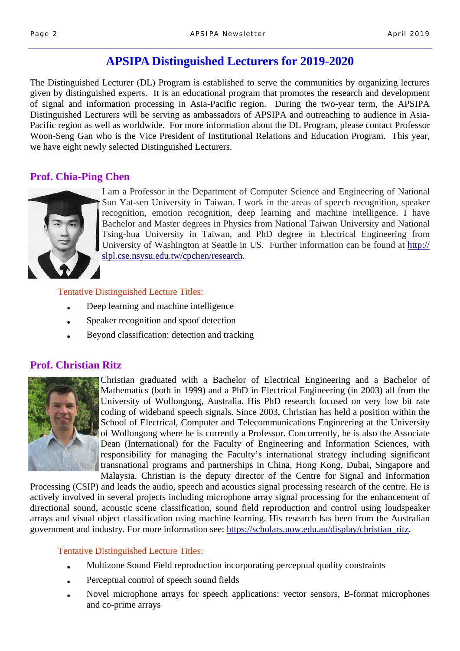# **APSIPA Distinguished Lecturers for 2019-2020**

The Distinguished Lecturer (DL) Program is established to serve the communities by organizing lectures given by distinguished experts. It is an educational program that promotes the research and development of signal and information processing in Asia-Pacific region. During the two-year term, the APSIPA Distinguished Lecturers will be serving as ambassadors of APSIPA and outreaching to audience in Asia-Pacific region as well as worldwide. For more information about the DL Program, please contact Professor Woon-Seng Gan who is the Vice President of Institutional Relations and Education Program. This year, we have eight newly selected Distinguished Lecturers.

# **Prof. Chia-Ping Chen**



I am a Professor in the Department of Computer Science and Engineering of National Sun Yat-sen University in Taiwan. I work in the areas of speech recognition, speaker recognition, emotion recognition, deep learning and machine intelligence. I have Bachelor and Master degrees in Physics from National Taiwan University and National Tsing-hua University in Taiwan, and PhD degree in Electrical Engineering from University of Washington at Seattle in US. Further information can be found at http:// slpl.cse.nsysu.edu.tw/cpchen/research.

Tentative Distinguished Lecture Titles:

- Deep learning and machine intelligence
- Speaker recognition and spoof detection
- Beyond classification: detection and tracking

# **Prof. Christian Ritz**



Christian graduated with a Bachelor of Electrical Engineering and a Bachelor of Mathematics (both in 1999) and a PhD in Electrical Engineering (in 2003) all from the University of Wollongong, Australia. His PhD research focused on very low bit rate coding of wideband speech signals. Since 2003, Christian has held a position within the School of Electrical, Computer and Telecommunications Engineering at the University of Wollongong where he is currently a Professor. Concurrently, he is also the Associate Dean (International) for the Faculty of Engineering and Information Sciences, with responsibility for managing the Faculty's international strategy including significant transnational programs and partnerships in China, Hong Kong, Dubai, Singapore and Malaysia. Christian is the deputy director of the Centre for Signal and Information

Processing (CSIP) and leads the audio, speech and acoustics signal processing research of the centre. He is actively involved in several projects including microphone array signal processing for the enhancement of directional sound, acoustic scene classification, sound field reproduction and control using loudspeaker arrays and visual object classification using machine learning. His research has been from the Australian government and industry. For more information see: https://scholars.uow.edu.au/display/christian\_ritz.

- Multizone Sound Field reproduction incorporating perceptual quality constraints
- Perceptual control of speech sound fields
- Novel microphone arrays for speech applications: vector sensors, B-format microphones and co-prime arrays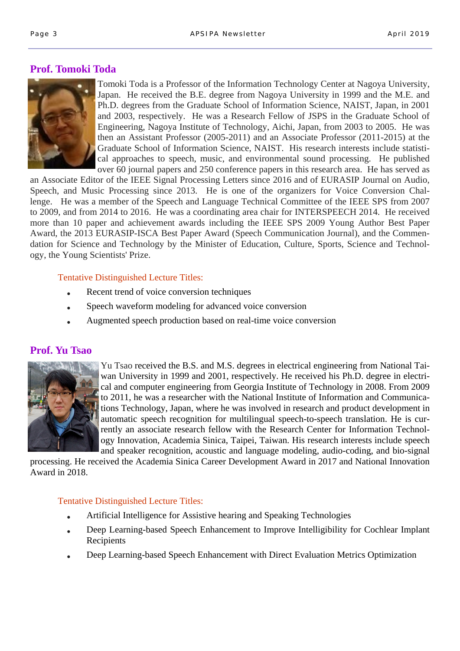# **Prof. Tomoki Toda**



Tomoki Toda is a Professor of the Information Technology Center at Nagoya University, Japan. He received the B.E. degree from Nagoya University in 1999 and the M.E. and Ph.D. degrees from the Graduate School of Information Science, NAIST, Japan, in 2001 and 2003, respectively. He was a Research Fellow of JSPS in the Graduate School of Engineering, Nagoya Institute of Technology, Aichi, Japan, from 2003 to 2005. He was then an Assistant Professor (2005-2011) and an Associate Professor (2011-2015) at the Graduate School of Information Science, NAIST. His research interests include statistical approaches to speech, music, and environmental sound processing. He published over 60 journal papers and 250 conference papers in this research area. He has served as

an Associate Editor of the IEEE Signal Processing Letters since 2016 and of EURASIP Journal on Audio, Speech, and Music Processing since 2013. He is one of the organizers for Voice Conversion Challenge. He was a member of the Speech and Language Technical Committee of the IEEE SPS from 2007 to 2009, and from 2014 to 2016. He was a coordinating area chair for INTERSPEECH 2014. He received more than 10 paper and achievement awards including the IEEE SPS 2009 Young Author Best Paper Award, the 2013 EURASIP-ISCA Best Paper Award (Speech Communication Journal), and the Commendation for Science and Technology by the Minister of Education, Culture, Sports, Science and Technology, the Young Scientists' Prize.

#### Tentative Distinguished Lecture Titles:

- Recent trend of voice conversion techniques
- Speech waveform modeling for advanced voice conversion
- Augmented speech production based on real-time voice conversion

### **Prof. Yu Tsao**



Yu Tsao received the B.S. and M.S. degrees in electrical engineering from National Taiwan University in 1999 and 2001, respectively. He received his Ph.D. degree in electrical and computer engineering from Georgia Institute of Technology in 2008. From 2009 to 2011, he was a researcher with the National Institute of Information and Communications Technology, Japan, where he was involved in research and product development in automatic speech recognition for multilingual speech-to-speech translation. He is currently an associate research fellow with the Research Center for Information Technology Innovation, Academia Sinica, Taipei, Taiwan. His research interests include speech and speaker recognition, acoustic and language modeling, audio-coding, and bio-signal

processing. He received the Academia Sinica Career Development Award in 2017 and National Innovation Award in 2018.

- Artificial Intelligence for Assistive hearing and Speaking Technologies
- Deep Learning-based Speech Enhancement to Improve Intelligibility for Cochlear Implant Recipients
- Deep Learning-based Speech Enhancement with Direct Evaluation Metrics Optimization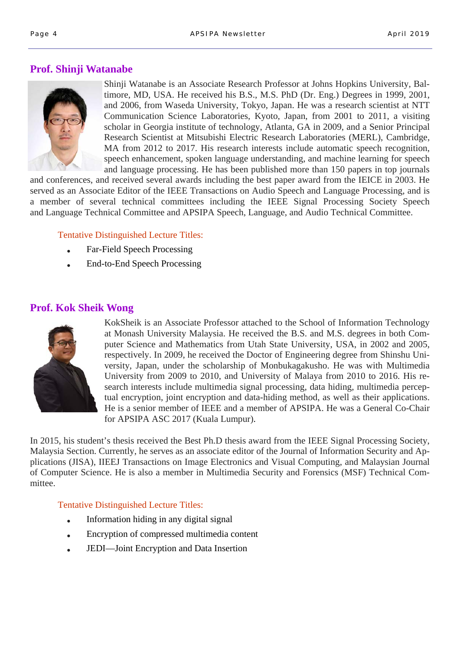# **Prof. Shinji Watanabe**



Shinji Watanabe is an Associate Research Professor at Johns Hopkins University, Baltimore, MD, USA. He received his B.S., M.S. PhD (Dr. Eng.) Degrees in 1999, 2001, and 2006, from Waseda University, Tokyo, Japan. He was a research scientist at NTT Communication Science Laboratories, Kyoto, Japan, from 2001 to 2011, a visiting scholar in Georgia institute of technology, Atlanta, GA in 2009, and a Senior Principal Research Scientist at Mitsubishi Electric Research Laboratories (MERL), Cambridge, MA from 2012 to 2017. His research interests include automatic speech recognition, speech enhancement, spoken language understanding, and machine learning for speech and language processing. He has been published more than 150 papers in top journals

and conferences, and received several awards including the best paper award from the IEICE in 2003. He served as an Associate Editor of the IEEE Transactions on Audio Speech and Language Processing, and is a member of several technical committees including the IEEE Signal Processing Society Speech and Language Technical Committee and APSIPA Speech, Language, and Audio Technical Committee.

### Tentative Distinguished Lecture Titles:

- Far-Field Speech Processing
- End-to-End Speech Processing

# **Prof. Kok Sheik Wong**



KokSheik is an Associate Professor attached to the School of Information Technology at Monash University Malaysia. He received the B.S. and M.S. degrees in both Computer Science and Mathematics from Utah State University, USA, in 2002 and 2005, respectively. In 2009, he received the Doctor of Engineering degree from Shinshu University, Japan, under the scholarship of Monbukagakusho. He was with Multimedia University from 2009 to 2010, and University of Malaya from 2010 to 2016. His research interests include multimedia signal processing, data hiding, multimedia perceptual encryption, joint encryption and data-hiding method, as well as their applications. He is a senior member of IEEE and a member of APSIPA. He was a General Co-Chair for APSIPA ASC 2017 (Kuala Lumpur).

In 2015, his student's thesis received the Best Ph.D thesis award from the IEEE Signal Processing Society, Malaysia Section. Currently, he serves as an associate editor of the Journal of Information Security and Applications (JISA), IIEEJ Transactions on Image Electronics and Visual Computing, and Malaysian Journal of Computer Science. He is also a member in Multimedia Security and Forensics (MSF) Technical Committee.

- $\bullet$  Information hiding in any digital signal
- Encryption of compressed multimedia content
- JEDI—Joint Encryption and Data Insertion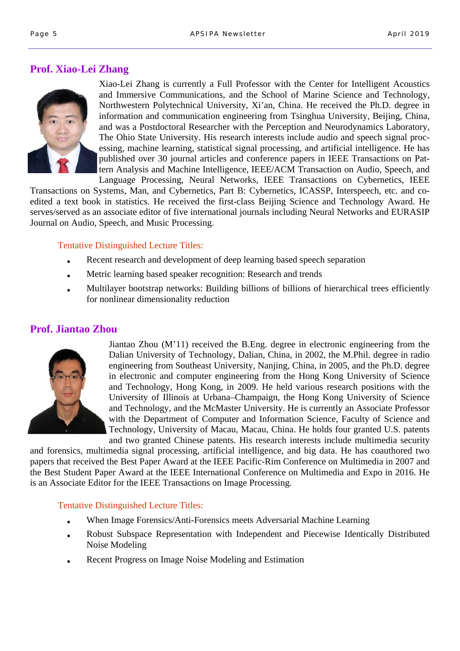# **Prof. Xiao-Lei Zhang**



Xiao-Lei Zhang is currently a Full Professor with the Center for Intelligent Acoustics and Immersive Communications, and the School of Marine Science and Technology, Northwestern Polytechnical University, Xi'an, China. He received the Ph.D. degree in information and communication engineering from Tsinghua University, Beijing, China, and was a Postdoctoral Researcher with the Perception and Neurodynamics Laboratory, The Ohio State University. His research interests include audio and speech signal processing, machine learning, statistical signal processing, and artificial intelligence. He has published over 30 journal articles and conference papers in IEEE Transactions on Pattern Analysis and Machine Intelligence, IEEE/ACM Transaction on Audio, Speech, and Language Processing, Neural Networks, IEEE Transactions on Cybernetics, IEEE

Transactions on Systems, Man, and Cybernetics, Part B: Cybernetics, ICASSP, Interspeech, etc. and coedited a text book in statistics. He received the first-class Beijing Science and Technology Award. He serves/served as an associate editor of five international journals including Neural Networks and EURASIP Journal on Audio, Speech, and Music Processing.

### Tentative Distinguished Lecture Titles:

- Recent research and development of deep learning based speech separation
- Metric learning based speaker recognition: Research and trends
- Multilayer bootstrap networks: Building billions of billions of hierarchical trees efficiently for nonlinear dimensionality reduction

### **Prof. Jiantao Zhou**



Jiantao Zhou (M'11) received the B.Eng. degree in electronic engineering from the Dalian University of Technology, Dalian, China, in 2002, the M.Phil. degree in radio engineering from Southeast University, Nanjing, China, in 2005, and the Ph.D. degree in electronic and computer engineering from the Hong Kong University of Science and Technology, Hong Kong, in 2009. He held various research positions with the University of Illinois at Urbana–Champaign, the Hong Kong University of Science and Technology, and the McMaster University. He is currently an Associate Professor with the Department of Computer and Information Science, Faculty of Science and Technology, University of Macau, Macau, China. He holds four granted U.S. patents and two granted Chinese patents. His research interests include multimedia security

and forensics, multimedia signal processing, artificial intelligence, and big data. He has coauthored two papers that received the Best Paper Award at the IEEE Pacific-Rim Conference on Multimedia in 2007 and the Best Student Paper Award at the IEEE International Conference on Multimedia and Expo in 2016. He is an Associate Editor for the IEEE Transactions on Image Processing.

- When Image Forensics/Anti-Forensics meets Adversarial Machine Learning
- Robust Subspace Representation with Independent and Piecewise Identically Distributed Noise Modeling
- Recent Progress on Image Noise Modeling and Estimation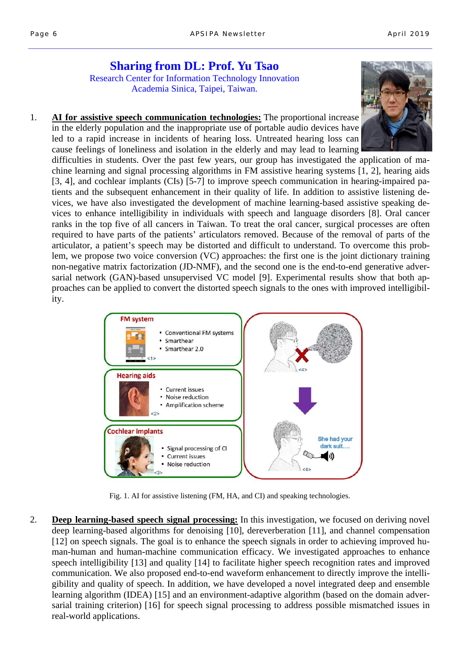### **Sharing from DL: Prof. Yu Tsao**  Research Center for Information Technology Innovation Academia Sinica, Taipei, Taiwan.

1. **AI for assistive speech communication technologies:** The proportional increase in the elderly population and the inappropriate use of portable audio devices have led to a rapid increase in incidents of hearing loss. Untreated hearing loss can cause feelings of loneliness and isolation in the elderly and may lead to learning

difficulties in students. Over the past few years, our group has investigated the application of machine learning and signal processing algorithms in FM assistive hearing systems [1, 2], hearing aids [3, 4], and cochlear implants (CIs) [5-7] to improve speech communication in hearing-impaired patients and the subsequent enhancement in their quality of life. In addition to assistive listening devices, we have also investigated the development of machine learning-based assistive speaking devices to enhance intelligibility in individuals with speech and language disorders [8]. Oral cancer ranks in the top five of all cancers in Taiwan. To treat the oral cancer, surgical processes are often required to have parts of the patients' articulators removed. Because of the removal of parts of the articulator, a patient's speech may be distorted and difficult to understand. To overcome this problem, we propose two voice conversion (VC) approaches: the first one is the joint dictionary training non-negative matrix factorization (JD-NMF), and the second one is the end-to-end generative adversarial network (GAN)-based unsupervised VC model [9]. Experimental results show that both approaches can be applied to convert the distorted speech signals to the ones with improved intelligibility.



Fig. 1. AI for assistive listening (FM, HA, and CI) and speaking technologies.

2. **Deep learning-based speech signal processing:** In this investigation, we focused on deriving novel deep learning-based algorithms for denoising [10], dereverberation [11], and channel compensation [12] on speech signals. The goal is to enhance the speech signals in order to achieving improved human-human and human-machine communication efficacy. We investigated approaches to enhance speech intelligibility [13] and quality [14] to facilitate higher speech recognition rates and improved communication. We also proposed end-to-end waveform enhancement to directly improve the intelligibility and quality of speech. In addition, we have developed a novel integrated deep and ensemble learning algorithm (IDEA) [15] and an environment-adaptive algorithm (based on the domain adversarial training criterion) [16] for speech signal processing to address possible mismatched issues in real-world applications.

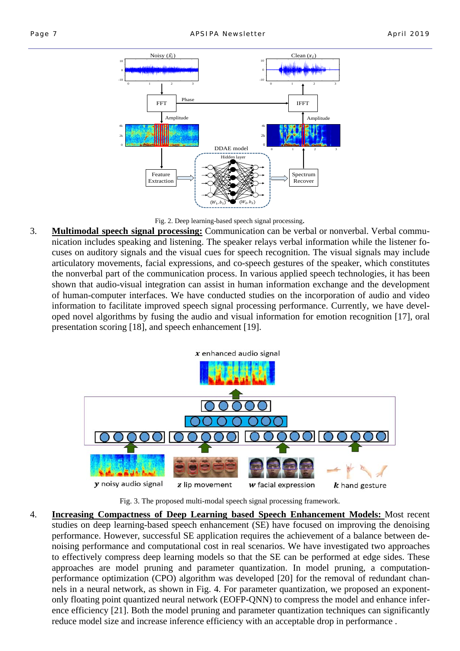

Fig. 2. Deep learning-based speech signal processing.

3. **Multimodal speech signal processing:** Communication can be verbal or nonverbal. Verbal communication includes speaking and listening. The speaker relays verbal information while the listener focuses on auditory signals and the visual cues for speech recognition. The visual signals may include articulatory movements, facial expressions, and co-speech gestures of the speaker, which constitutes the nonverbal part of the communication process. In various applied speech technologies, it has been shown that audio-visual integration can assist in human information exchange and the development of human-computer interfaces. We have conducted studies on the incorporation of audio and video information to facilitate improved speech signal processing performance. Currently, we have developed novel algorithms by fusing the audio and visual information for emotion recognition [17], oral presentation scoring [18], and speech enhancement [19].



Fig. 3. The proposed multi-modal speech signal processing framework.

4. **Increasing Compactness of Deep Learning based Speech Enhancement Models:** Most recent studies on deep learning-based speech enhancement (SE) have focused on improving the denoising performance. However, successful SE application requires the achievement of a balance between denoising performance and computational cost in real scenarios. We have investigated two approaches to effectively compress deep learning models so that the SE can be performed at edge sides. These approaches are model pruning and parameter quantization. In model pruning, a computationperformance optimization (CPO) algorithm was developed [20] for the removal of redundant channels in a neural network, as shown in Fig. 4. For parameter quantization, we proposed an exponentonly floating point quantized neural network (EOFP-QNN) to compress the model and enhance inference efficiency [21]. Both the model pruning and parameter quantization techniques can significantly reduce model size and increase inference efficiency with an acceptable drop in performance .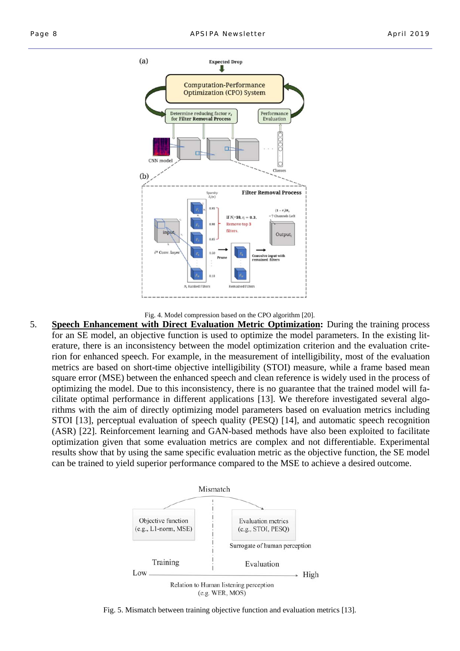

Fig. 4. Model compression based on the CPO algorithm [20].

5. **Speech Enhancement with Direct Evaluation Metric Optimization:** During the training process for an SE model, an objective function is used to optimize the model parameters. In the existing literature, there is an inconsistency between the model optimization criterion and the evaluation criterion for enhanced speech. For example, in the measurement of intelligibility, most of the evaluation metrics are based on short-time objective intelligibility (STOI) measure, while a frame based mean square error (MSE) between the enhanced speech and clean reference is widely used in the process of optimizing the model. Due to this inconsistency, there is no guarantee that the trained model will facilitate optimal performance in different applications [13]. We therefore investigated several algorithms with the aim of directly optimizing model parameters based on evaluation metrics including STOI [13], perceptual evaluation of speech quality (PESQ) [14], and automatic speech recognition (ASR) [22]. Reinforcement learning and GAN-based methods have also been exploited to facilitate optimization given that some evaluation metrics are complex and not differentiable. Experimental results show that by using the same specific evaluation metric as the objective function, the SE model can be trained to yield superior performance compared to the MSE to achieve a desired outcome.



Fig. 5. Mismatch between training objective function and evaluation metrics [13].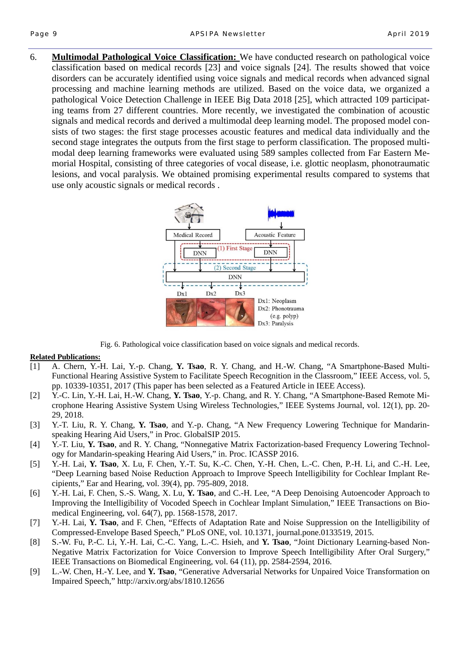6. **Multimodal Pathological Voice Classification:** We have conducted research on pathological voice classification based on medical records [23] and voice signals [24]. The results showed that voice disorders can be accurately identified using voice signals and medical records when advanced signal processing and machine learning methods are utilized. Based on the voice data, we organized a pathological Voice Detection Challenge in IEEE Big Data 2018 [25], which attracted 109 participating teams from 27 different countries. More recently, we investigated the combination of acoustic signals and medical records and derived a multimodal deep learning model. The proposed model consists of two stages: the first stage processes acoustic features and medical data individually and the second stage integrates the outputs from the first stage to perform classification. The proposed multimodal deep learning frameworks were evaluated using 589 samples collected from Far Eastern Memorial Hospital, consisting of three categories of vocal disease, i.e. glottic neoplasm, phonotraumatic lesions, and vocal paralysis. We obtained promising experimental results compared to systems that use only acoustic signals or medical records .



Fig. 6. Pathological voice classification based on voice signals and medical records.

#### **Related Publications:**

- [1] A. Chern, Y.-H. Lai, Y.-p. Chang, **Y. Tsao**, R. Y. Chang, and H.-W. Chang, "A Smartphone-Based Multi-Functional Hearing Assistive System to Facilitate Speech Recognition in the Classroom," IEEE Access, vol. 5, pp. 10339-10351, 2017 (This paper has been selected as a Featured Article in IEEE Access).
- [2] Y.-C. Lin, Y.-H. Lai, H.-W. Chang, **Y. Tsao**, Y.-p. Chang, and R. Y. Chang, "A Smartphone-Based Remote Microphone Hearing Assistive System Using Wireless Technologies," IEEE Systems Journal, vol. 12(1), pp. 20- 29, 2018.
- [3] Y.-T. Liu, R. Y. Chang, **Y. Tsao**, and Y.-p. Chang, "A New Frequency Lowering Technique for Mandarinspeaking Hearing Aid Users," in Proc. GlobalSIP 2015.
- [4] Y.-T. Liu, **Y. Tsao**, and R. Y. Chang, "Nonnegative Matrix Factorization-based Frequency Lowering Technology for Mandarin-speaking Hearing Aid Users," in. Proc. ICASSP 2016.
- [5] Y.-H. Lai, **Y. Tsao**, X. Lu, F. Chen, Y.-T. Su, K.-C. Chen, Y.-H. Chen, L.-C. Chen, P.-H. Li, and C.-H. Lee, "Deep Learning based Noise Reduction Approach to Improve Speech Intelligibility for Cochlear Implant Recipients," Ear and Hearing, vol. 39(4), pp. 795-809, 2018.
- [6] Y.-H. Lai, F. Chen, S.-S. Wang, X. Lu, **Y. Tsao**, and C.-H. Lee, "A Deep Denoising Autoencoder Approach to Improving the Intelligibility of Vocoded Speech in Cochlear Implant Simulation," IEEE Transactions on Biomedical Engineering, vol. 64(7), pp. 1568-1578, 2017.
- [7] Y.-H. Lai, **Y. Tsao**, and F. Chen, "Effects of Adaptation Rate and Noise Suppression on the Intelligibility of Compressed-Envelope Based Speech," PLoS ONE, vol. 10.1371, journal.pone.0133519, 2015.
- [8] S.-W. Fu, P.-C. Li, Y.-H. Lai, C.-C. Yang, L.-C. Hsieh, and **Y. Tsao**, "Joint Dictionary Learning-based Non-Negative Matrix Factorization for Voice Conversion to Improve Speech Intelligibility After Oral Surgery," IEEE Transactions on Biomedical Engineering, vol. 64 (11), pp. 2584-2594, 2016.
- [9] L.-W. Chen, H.-Y. Lee, and **Y. Tsao**, "Generative Adversarial Networks for Unpaired Voice Transformation on Impaired Speech," http://arxiv.org/abs/1810.12656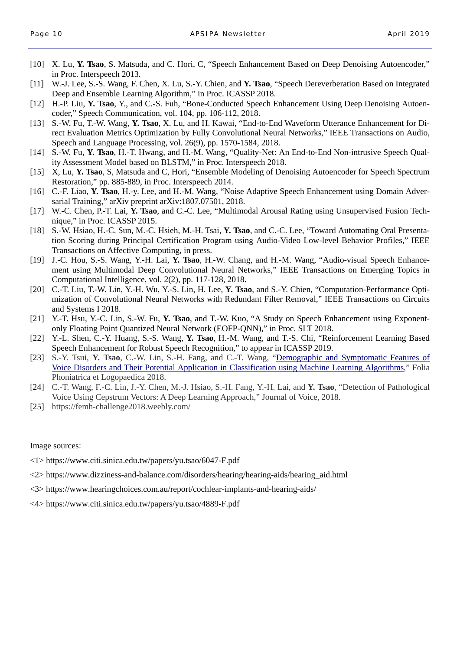- [10] X. Lu, **Y. Tsao**, S. Matsuda, and C. Hori, C, "Speech Enhancement Based on Deep Denoising Autoencoder," in Proc. Interspeech 2013.
- [11] W.-J. Lee, S.-S. Wang, F. Chen, X. Lu, S.-Y. Chien, and **Y. Tsao**, "Speech Dereverberation Based on Integrated Deep and Ensemble Learning Algorithm," in Proc. ICASSP 2018.
- [12] H.-P. Liu, **Y. Tsao**, Y., and C.-S. Fuh, "Bone-Conducted Speech Enhancement Using Deep Denoising Autoencoder," Speech Communication, vol. 104, pp. 106-112, 2018.
- [13] S.-W. Fu, T.-W. Wang, **Y. Tsao**, X. Lu, and H. Kawai, "End-to-End Waveform Utterance Enhancement for Direct Evaluation Metrics Optimization by Fully Convolutional Neural Networks," IEEE Transactions on Audio, Speech and Language Processing, vol. 26(9), pp. 1570-1584, 2018.
- [14] S.-W. Fu, **Y. Tsao**, H.-T. Hwang, and H.-M. Wang, "Quality-Net: An End-to-End Non-intrusive Speech Quality Assessment Model based on BLSTM," in Proc. Interspeech 2018.
- [15] X, Lu, **Y. Tsao**, S, Matsuda and C, Hori, "Ensemble Modeling of Denoising Autoencoder for Speech Spectrum Restoration," pp. 885-889, in Proc. Interspeech 2014.
- [16] C.-F. Liao, **Y. Tsao**, H.-y. Lee, and H.-M. Wang, "Noise Adaptive Speech Enhancement using Domain Adversarial Training," arXiv preprint arXiv:1807.07501, 2018.
- [17] W.-C. Chen, P.-T. Lai, **Y. Tsao**, and C.-C. Lee, "Multimodal Arousal Rating using Unsupervised Fusion Technique," in Proc. ICASSP 2015.
- [18] S.-W. Hsiao, H.-C. Sun, M.-C. Hsieh, M.-H. Tsai, **Y. Tsao**, and C.-C. Lee, "Toward Automating Oral Presentation Scoring during Principal Certification Program using Audio-Video Low-level Behavior Profiles," IEEE Transactions on Affective Computing, in press.
- [19] J.-C. Hou, S.-S. Wang, Y.-H. Lai, **Y. Tsao**, H.-W. Chang, and H.-M. Wang, "Audio-visual Speech Enhancement using Multimodal Deep Convolutional Neural Networks," IEEE Transactions on Emerging Topics in Computational Intelligence, vol. 2(2), pp. 117-128, 2018.
- [20] C.-T. Liu, T.-W. Lin, Y.-H. Wu, Y.-S. Lin, H. Lee, **Y. Tsao**, and S.-Y. Chien, "Computation-Performance Optimization of Convolutional Neural Networks with Redundant Filter Removal," IEEE Transactions on Circuits and Systems I 2018.
- [21] Y.-T. Hsu, Y.-C. Lin, S.-W. Fu, **Y. Tsao**, and T.-W. Kuo, "A Study on Speech Enhancement using Exponentonly Floating Point Quantized Neural Network (EOFP-QNN)," in Proc. SLT 2018.
- [22] Y.-L. Shen, C.-Y. Huang, S.-S. Wang, **Y. Tsao**, H.-M. Wang, and T.-S. Chi, "Reinforcement Learning Based Speech Enhancement for Robust Speech Recognition," to appear in ICASSP 2019.
- [23] S.-Y. Tsui, **Y. Tsao**, C.-W. Lin, S.-H. Fang, and C.-T. Wang, "Demographic and Symptomatic Features of Voice Disorders and Their Potential Application in Classification using Machine Learning Algorithms," Folia Phoniatrica et Logopaedica 2018.
- [24] C.-T. Wang, F.-C. Lin, J.-Y. Chen, M.-J. Hsiao, S.-H. Fang, Y.-H. Lai, and **Y. Tsao**, "Detection of Pathological Voice Using Cepstrum Vectors: A Deep Learning Approach," Journal of Voice, 2018.
- [25] https://femh-challenge2018.weebly.com/

Image sources:

- <1> https://www.citi.sinica.edu.tw/papers/yu.tsao/6047-F.pdf
- <2> https://www.dizziness-and-balance.com/disorders/hearing/hearing-aids/hearing\_aid.html
- <3> https://www.hearingchoices.com.au/report/cochlear-implants-and-hearing-aids/
- <4> https://www.citi.sinica.edu.tw/papers/yu.tsao/4889-F.pdf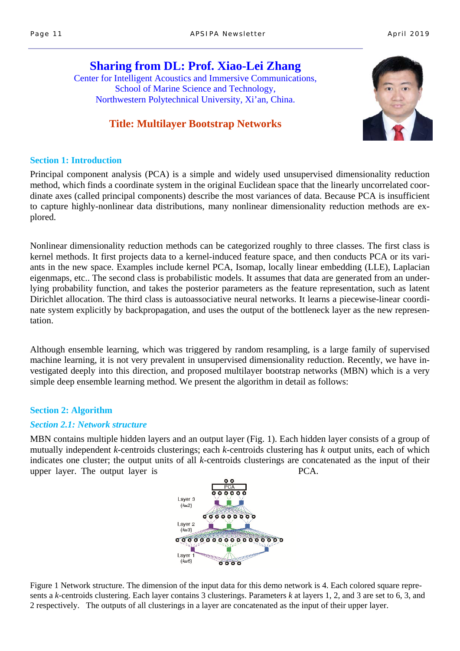# **Sharing from DL: Prof. Xiao-Lei Zhang**  Center for Intelligent Acoustics and Immersive Communications, School of Marine Science and Technology, Northwestern Polytechnical University, Xi'an, China.

# **Title: Multilayer Bootstrap Networks**



### **Section 1: Introduction**

Principal component analysis (PCA) is a simple and widely used unsupervised dimensionality reduction method, which finds a coordinate system in the original Euclidean space that the linearly uncorrelated coordinate axes (called principal components) describe the most variances of data. Because PCA is insufficient to capture highly-nonlinear data distributions, many nonlinear dimensionality reduction methods are explored.

Nonlinear dimensionality reduction methods can be categorized roughly to three classes. The first class is kernel methods. It first projects data to a kernel-induced feature space, and then conducts PCA or its variants in the new space. Examples include kernel PCA, Isomap, locally linear embedding (LLE), Laplacian eigenmaps, etc.. The second class is probabilistic models. It assumes that data are generated from an underlying probability function, and takes the posterior parameters as the feature representation, such as latent Dirichlet allocation. The third class is autoassociative neural networks. It learns a piecewise-linear coordinate system explicitly by backpropagation, and uses the output of the bottleneck layer as the new representation.

Although ensemble learning, which was triggered by random resampling, is a large family of supervised machine learning, it is not very prevalent in unsupervised dimensionality reduction. Recently, we have investigated deeply into this direction, and proposed multilayer bootstrap networks (MBN) which is a very simple deep ensemble learning method. We present the algorithm in detail as follows:

### **Section 2: Algorithm**

#### *Section 2.1: Network structure*

MBN contains multiple hidden layers and an output layer (Fig. 1). Each hidden layer consists of a group of mutually independent *k*-centroids clusterings; each *k*-centroids clustering has *k* output units, each of which indicates one cluster; the output units of all *k*-centroids clusterings are concatenated as the input of their upper layer. The output layer is PCA.



Figure 1 Network structure. The dimension of the input data for this demo network is 4. Each colored square represents a *k*-centroids clustering. Each layer contains 3 clusterings. Parameters *k* at layers 1, 2, and 3 are set to 6, 3, and 2 respectively. The outputs of all clusterings in a layer are concatenated as the input of their upper layer.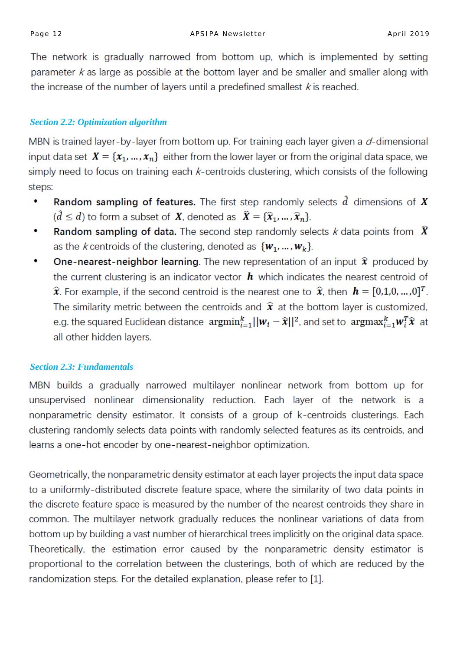The network is gradually narrowed from bottom up, which is implemented by setting parameter  $k$  as large as possible at the bottom layer and be smaller and smaller along with the increase of the number of layers until a predefined smallest  $k$  is reached.

# *Section 2.2: Optimization algorithm*

MBN is trained layer-by-layer from bottom up. For training each layer given a  $d$ -dimensional input data set  $X = \{x_1, ..., x_n\}$  either from the lower layer or from the original data space, we simply need to focus on training each  $k$ -centroids clustering, which consists of the following steps:

- **Random sampling of features.** The first step randomly selects  $\hat{d}$  dimensions of X  $\bullet$  $(\hat{d} \leq d)$  to form a subset of **X**, denoted as  $\hat{\mathbf{X}} = {\hat{\mathbf{x}}_1, ..., \hat{\mathbf{x}}_n}$ .
- **Random sampling of data.** The second step randomly selects k data points from  $\hat{X}$ ۰ as the *k* centroids of the clustering, denoted as  $\{w_1, ..., w_k\}$ .
- $\bullet$ **One-nearest-neighbor learning**. The new representation of an input  $\hat{x}$  produced by the current clustering is an indicator vector  $h$  which indicates the nearest centroid of  $\hat{\mathbf{x}}$ . For example, if the second centroid is the nearest one to  $\hat{\mathbf{x}}$ , then  $\mathbf{h} = [0,1,0,...,0]^T$ . The similarity metric between the centroids and  $\hat{\mathbf{x}}$  at the bottom layer is customized, e.g. the squared Euclidean distance  $\argmin_{i=1}^k ||w_i - \hat{x}||^2$ , and set to  $\argmax_{i=1}^k w_i^T \hat{x}$  at all other hidden layers.

### *Section 2.3: Fundamentals*

MBN builds a gradually narrowed multilayer nonlinear network from bottom up for unsupervised nonlinear dimensionality reduction. Each layer of the network is a nonparametric density estimator. It consists of a group of k-centroids clusterings. Each clustering randomly selects data points with randomly selected features as its centroids, and learns a one-hot encoder by one-nearest-neighbor optimization.

Geometrically, the nonparametric density estimator at each layer projects the input data space to a uniformly-distributed discrete feature space, where the similarity of two data points in the discrete feature space is measured by the number of the nearest centroids they share in common. The multilayer network gradually reduces the nonlinear variations of data from bottom up by building a vast number of hierarchical trees implicitly on the original data space. Theoretically, the estimation error caused by the nonparametric density estimator is proportional to the correlation between the clusterings, both of which are reduced by the randomization steps. For the detailed explanation, please refer to [1].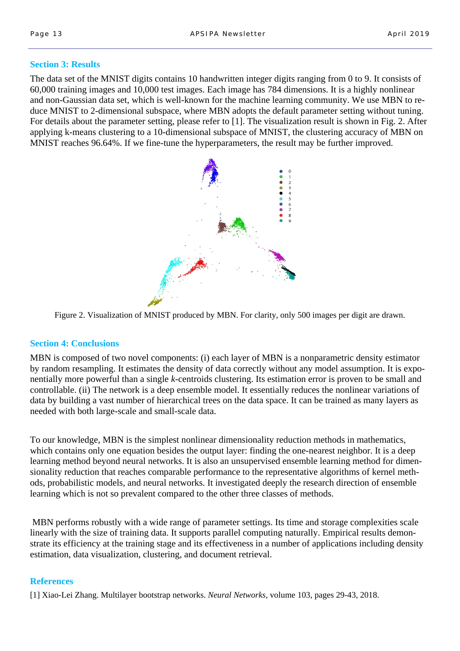#### **Section 3: Results**

The data set of the MNIST digits contains 10 handwritten integer digits ranging from 0 to 9. It consists of 60,000 training images and 10,000 test images. Each image has 784 dimensions. It is a highly nonlinear and non-Gaussian data set, which is well-known for the machine learning community. We use MBN to reduce MNIST to 2-dimensional subspace, where MBN adopts the default parameter setting without tuning. For details about the parameter setting, please refer to [1]. The visualization result is shown in Fig. 2. After applying k-means clustering to a 10-dimensional subspace of MNIST, the clustering accuracy of MBN on MNIST reaches 96.64%. If we fine-tune the hyperparameters, the result may be further improved.



Figure 2. Visualization of MNIST produced by MBN. For clarity, only 500 images per digit are drawn.

#### **Section 4: Conclusions**

MBN is composed of two novel components: (i) each layer of MBN is a nonparametric density estimator by random resampling. It estimates the density of data correctly without any model assumption. It is exponentially more powerful than a single *k*-centroids clustering. Its estimation error is proven to be small and controllable. (ii) The network is a deep ensemble model. It essentially reduces the nonlinear variations of data by building a vast number of hierarchical trees on the data space. It can be trained as many layers as needed with both large-scale and small-scale data.

To our knowledge, MBN is the simplest nonlinear dimensionality reduction methods in mathematics, which contains only one equation besides the output layer: finding the one-nearest neighbor. It is a deep learning method beyond neural networks. It is also an unsupervised ensemble learning method for dimensionality reduction that reaches comparable performance to the representative algorithms of kernel methods, probabilistic models, and neural networks. It investigated deeply the research direction of ensemble learning which is not so prevalent compared to the other three classes of methods.

 MBN performs robustly with a wide range of parameter settings. Its time and storage complexities scale linearly with the size of training data. It supports parallel computing naturally. Empirical results demonstrate its efficiency at the training stage and its effectiveness in a number of applications including density estimation, data visualization, clustering, and document retrieval.

#### **References**

[1] Xiao-Lei Zhang. Multilayer bootstrap networks. *Neural Networks,* volume 103, pages 29-43, 2018.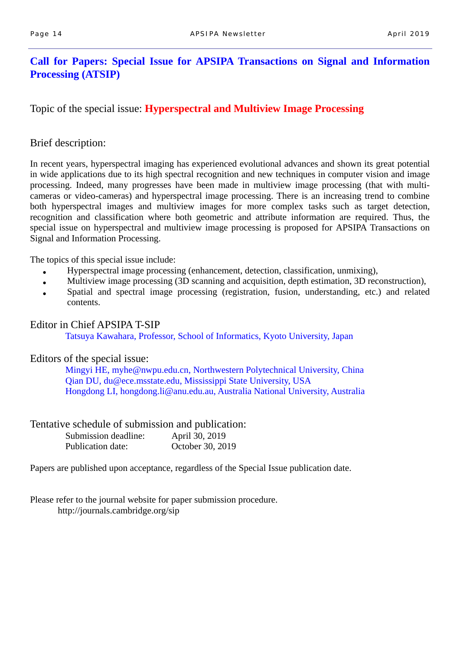# **Call for Papers: Special Issue for APSIPA Transactions on Signal and Information Processing (ATSIP)**

Topic of the special issue: **Hyperspectral and Multiview Image Processing** 

### Brief description:

In recent years, hyperspectral imaging has experienced evolutional advances and shown its great potential in wide applications due to its high spectral recognition and new techniques in computer vision and image processing. Indeed, many progresses have been made in multiview image processing (that with multicameras or video-cameras) and hyperspectral image processing. There is an increasing trend to combine both hyperspectral images and multiview images for more complex tasks such as target detection, recognition and classification where both geometric and attribute information are required. Thus, the special issue on hyperspectral and multiview image processing is proposed for APSIPA Transactions on Signal and Information Processing.

The topics of this special issue include:

- Hyperspectral image processing (enhancement, detection, classification, unmixing),
- Multiview image processing (3D scanning and acquisition, depth estimation, 3D reconstruction),
- Spatial and spectral image processing (registration, fusion, understanding, etc.) and related contents.

#### Editor in Chief APSIPA T-SIP

Tatsuya Kawahara, Professor, School of Informatics, Kyoto University, Japan

### Editors of the special issue:

Mingyi HE, myhe@nwpu.edu.cn, Northwestern Polytechnical University, China Qian DU, du@ece.msstate.edu, Mississippi State University, USA Hongdong LI, hongdong.li@anu.edu.au, Australia National University, Australia

### Tentative schedule of submission and publication:

| Submission deadline: | April 30, 2019   |
|----------------------|------------------|
| Publication date:    | October 30, 2019 |

Papers are published upon acceptance, regardless of the Special Issue publication date.

Please refer to the journal website for paper submission procedure. http://journals.cambridge.org/sip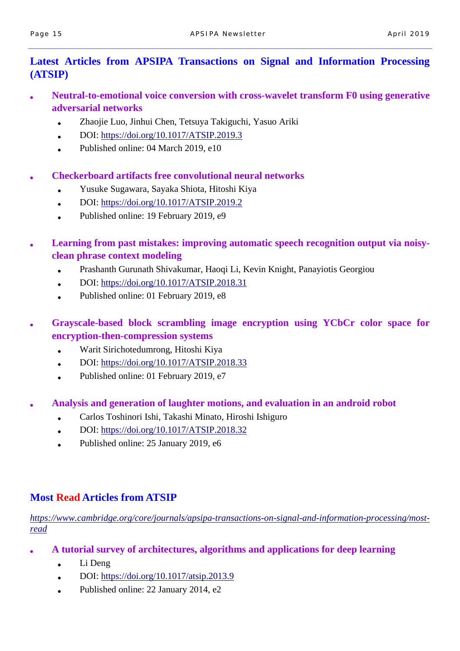# **Latest Articles from APSIPA Transactions on Signal and Information Processing (ATSIP)**

- **Neutral-to-emotional voice conversion with cross-wavelet transform F0 using generative adversarial networks** 
	- Zhaojie Luo, Jinhui Chen, Tetsuya Takiguchi, Yasuo Ariki
	- $\bullet$  DOI: https://doi.org/10.1017/ATSIP.2019.3
	- Published online: 04 March 2019, e10

# **Checkerboard artifacts free convolutional neural networks**

- Yusuke Sugawara, Sayaka Shiota, Hitoshi Kiya
- $\bullet$  DOI: https://doi.org/10.1017/ATSIP.2019.2
- Published online: 19 February 2019, e9
- Learning from past mistakes: improving automatic speech recognition output via noisy**clean phrase context modeling** 
	- Prashanth Gurunath Shivakumar, Haoqi Li, Kevin Knight, Panayiotis Georgiou
	- DOI: https://doi.org/10.1017/ATSIP.2018.31
	- Published online: 01 February 2019, e8
- Grayscale-based block scrambling image encryption using YCbCr color space for **encryption-then-compression systems** 
	- Warit Sirichotedumrong, Hitoshi Kiya
	- $\bullet$  DOI: https://doi.org/10.1017/ATSIP.2018.33
	- Published online: 01 February 2019, e7
- **Analysis and generation of laughter motions, and evaluation in an android robot** 
	- Carlos Toshinori Ishi, Takashi Minato, Hiroshi Ishiguro
	- $\bullet$  DOI: https://doi.org/10.1017/ATSIP.2018.32
	- Published online: 25 January 2019, e6

# **Most Read Articles from ATSIP**

*https://www.cambridge.org/core/journals/apsipa-transactions-on-signal-and-information-processing/mostread*

- **A tutorial survey of architectures, algorithms and applications for deep learning** 
	- $\bullet$  Li Deng
	- DOI: https://doi.org/10.1017/atsip.2013.9
	- Published online: 22 January 2014, e2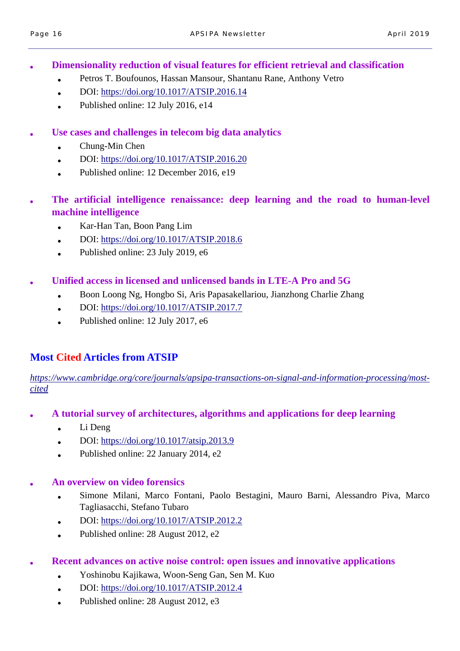**Dimensionality reduction of visual features for efficient retrieval and classification** 

- Petros T. Boufounos, Hassan Mansour, Shantanu Rane, Anthony Vetro
- $\bullet$  DOI: https://doi.org/10.1017/ATSIP.2016.14
- Published online:  $12$  July 2016, e14
- Use cases and challenges in telecom big data analytics
	- $\bullet$  Chung-Min Chen
	- $\bullet$  DOI: https://doi.org/10.1017/ATSIP.2016.20
	- Published online:  $12$  December 2016, e19
- The artificial intelligence renaissance: deep learning and the road to human-level **machine intelligence** 
	- Kar-Han Tan, Boon Pang Lim
	- DOI: https://doi.org/10.1017/ATSIP.2018.6
	- Published online:  $23$  July 2019, e6
- **Unified access in licensed and unlicensed bands in LTE-A Pro and 5G** 
	- Boon Loong Ng, Hongbo Si, Aris Papasakellariou, Jianzhong Charlie Zhang
	- DOI: https://doi.org/10.1017/ATSIP.2017.7
	- Published online:  $12$  July 2017, e6

# **Most Cited Articles from ATSIP**

*https://www.cambridge.org/core/journals/apsipa-transactions-on-signal-and-information-processing/mostcited*

- **A tutorial survey of architectures, algorithms and applications for deep learning** 
	- $\bullet$  Li Deng
	- DOI: https://doi.org/10.1017/atsip.2013.9
	- Published online:  $22$  January  $2014$ , e2

### ● **An overview on video forensics**

- Simone Milani, Marco Fontani, Paolo Bestagini, Mauro Barni, Alessandro Piva, Marco Tagliasacchi, Stefano Tubaro
- DOI: https://doi.org/10.1017/ATSIP.2012.2
- Published online:  $28$  August  $2012$ , e2
- **Recent advances on active noise control: open issues and innovative applications** 
	- Yoshinobu Kajikawa, Woon-Seng Gan, Sen M. Kuo
	- $\bullet$  DOI: https://doi.org/10.1017/ATSIP.2012.4
	- Published online:  $28$  August  $2012$ , e3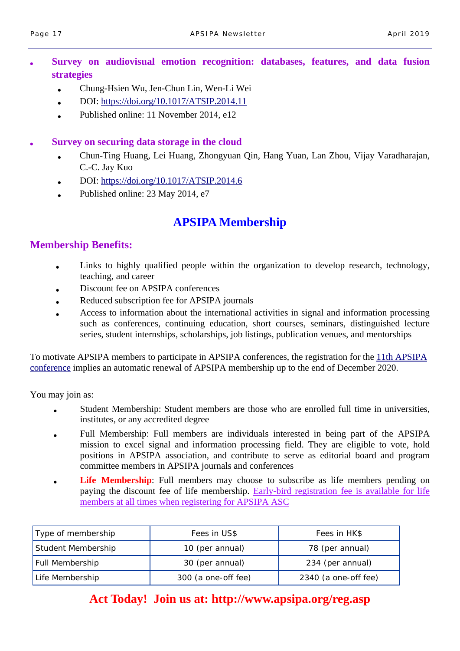- Survey on audiovisual emotion recognition: databases, features, and data fusion **strategies** 
	- Chung-Hsien Wu, Jen-Chun Lin, Wen-Li Wei
	- $\bullet$  DOI: https://doi.org/10.1017/ATSIP.2014.11
	- Published online: 11 November 2014, e12

### **Survey on securing data storage in the cloud**

- Chun-Ting Huang, Lei Huang, Zhongyuan Qin, Hang Yuan, Lan Zhou, Vijay Varadharajan, C.-C. Jay Kuo
- DOI: https://doi.org/10.1017/ATSIP.2014.6
- Published online: 23 May 2014, e7

# **APSIPA Membership**

# **Membership Benefits:**

- Links to highly qualified people within the organization to develop research, technology, teaching, and career
- Discount fee on APSIPA conferences
- Reduced subscription fee for APSIPA journals
- Access to information about the international activities in signal and information processing such as conferences, continuing education, short courses, seminars, distinguished lecture series, student internships, scholarships, job listings, publication venues, and mentorships

To motivate APSIPA members to participate in APSIPA conferences, the registration for the 11th APSIPA conference implies an automatic renewal of APSIPA membership up to the end of December 2020.

You may join as:

- Student Membership: Student members are those who are enrolled full time in universities, institutes, or any accredited degree
- Full Membership: Full members are individuals interested in being part of the APSIPA mission to excel signal and information processing field. They are eligible to vote, hold positions in APSIPA association, and contribute to serve as editorial board and program committee members in APSIPA journals and conferences
- **Life Membership**: Full members may choose to subscribe as life members pending on paying the discount fee of life membership. Early-bird registration fee is available for life members at all times when registering for APSIPA ASC

| Type of membership | Fees in US\$        | Fees in HK\$         |
|--------------------|---------------------|----------------------|
| Student Membership | 10 (per annual)     | 78 (per annual)      |
| Full Membership    | 30 (per annual)     | 234 (per annual)     |
| Life Membership    | 300 (a one-off fee) | 2340 (a one-off fee) |

# **Act Today! Join us at: http://www.apsipa.org/reg.asp**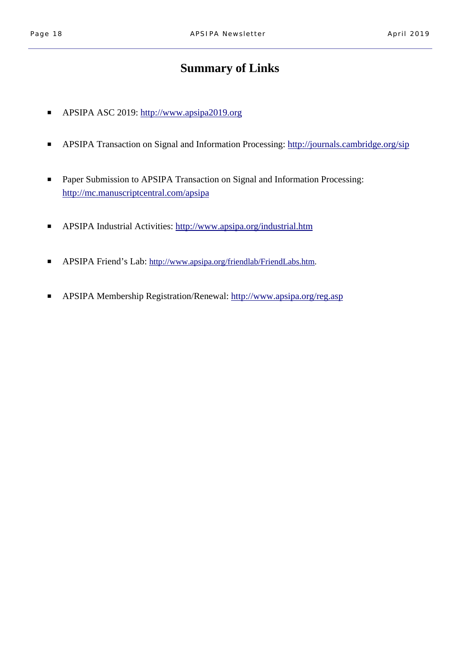# **Summary of Links**

- APSIPA ASC 2019: http://www.apsipa2019.org
- APSIPA Transaction on Signal and Information Processing: http://journals.cambridge.org/sip
- Paper Submission to APSIPA Transaction on Signal and Information Processing: http://mc.manuscriptcentral.com/apsipa
- APSIPA Industrial Activities: http://www.apsipa.org/industrial.htm
- APSIPA Friend's Lab: http://www.apsipa.org/friendlab/FriendLabs.htm.
- APSIPA Membership Registration/Renewal: http://www.apsipa.org/reg.asp